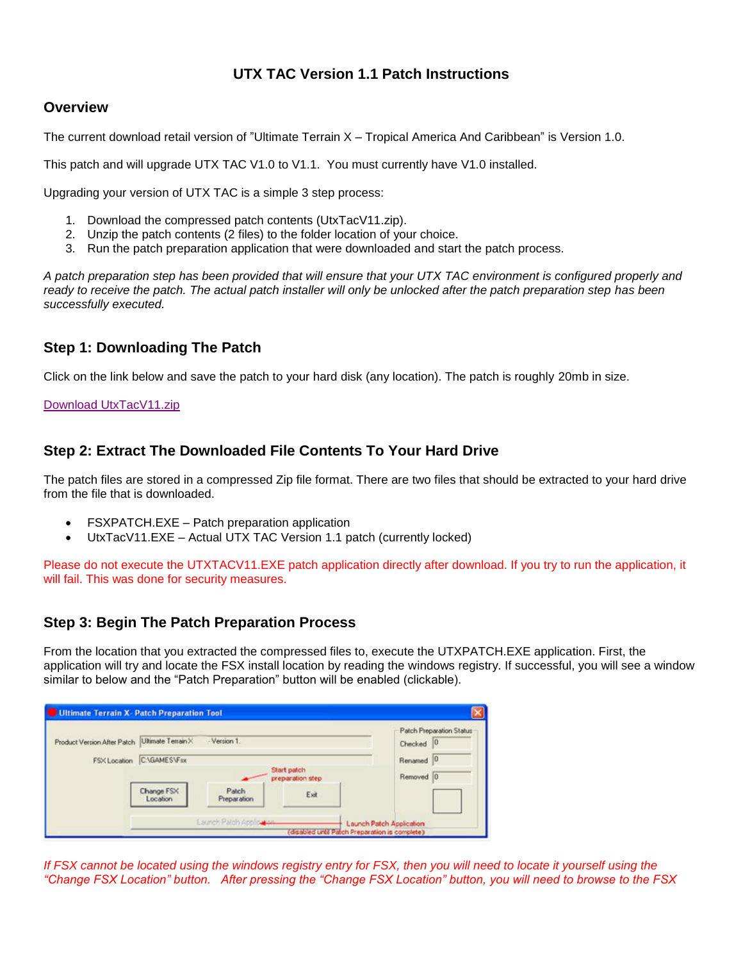# **UTX TAC Version 1.1 Patch Instructions**

## **Overview**

The current download retail version of "Ultimate Terrain X – Tropical America And Caribbean" is Version 1.0.

This patch and will upgrade UTX TAC V1.0 to V1.1. You must currently have V1.0 installed.

Upgrading your version of UTX TAC is a simple 3 step process:

- 1. Download the compressed patch contents (UtxTacV11.zip).
- 2. Unzip the patch contents (2 files) to the folder location of your choice.
- 3. Run the patch preparation application that were downloaded and start the patch process.

*A patch preparation step has been provided that will ensure that your UTX TAC environment is configured properly and*  ready to receive the patch. The actual patch installer will only be unlocked after the patch preparation step has been *successfully executed.* 

## **Step 1: Downloading The Patch**

Click on the link below and save the patch to your hard disk (any location). The patch is roughly 20mb in size.

#### [Download UtxTacV11.zip](http://files.100megabyte.com/ultterrain/Patch/UtxTacV11.zip)

## **Step 2: Extract The Downloaded File Contents To Your Hard Drive**

The patch files are stored in a compressed Zip file format. There are two files that should be extracted to your hard drive from the file that is downloaded.

- FSXPATCH.EXE Patch preparation application
- UtxTacV11.EXE Actual UTX TAC Version 1.1 patch (currently locked)

Please do not execute the UTXTACV11.EXE patch application directly after download. If you try to run the application, it will fail. This was done for security measures.

## **Step 3: Begin The Patch Preparation Process**

From the location that you extracted the compressed files to, execute the UTXPATCH.EXE application. First, the application will try and locate the FSX install location by reading the windows registry. If successful, you will see a window similar to below and the "Patch Preparation" button will be enabled (clickable).

|                                                |                        |                                 |      | Patch Preparation Status |
|------------------------------------------------|------------------------|---------------------------------|------|--------------------------|
| Product Version After Patch Ultimate Terrain X | - Version 1.           |                                 |      | Checked 0                |
| FSX Location                                   | C:\GAMES\Fsx           |                                 |      | Renamed                  |
|                                                |                        | Start patch<br>preparation step |      |                          |
|                                                | Change FSX<br>Location | Patch<br>Preparation            | Exit |                          |
|                                                |                        |                                 |      |                          |

*If FSX cannot be located using the windows registry entry for FSX, then you will need to locate it yourself using the "Change FSX Location" button. After pressing the "Change FSX Location" button, you will need to browse to the FSX*